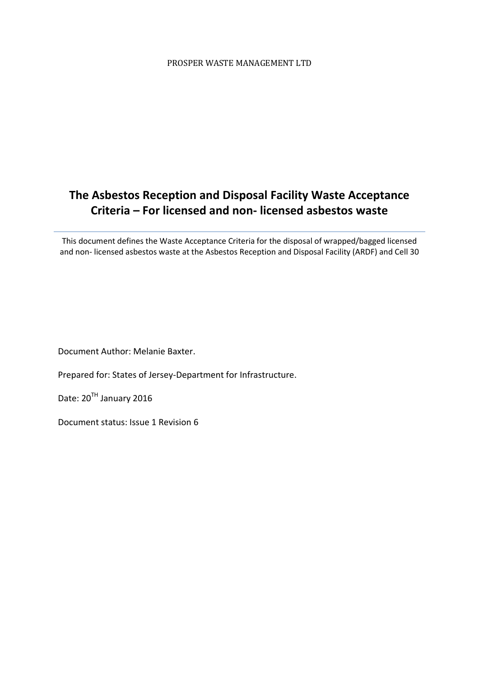# **The Asbestos Reception and Disposal Facility Waste Acceptance Criteria – For licensed and non- licensed asbestos waste**

This document defines the Waste Acceptance Criteria for the disposal of wrapped/bagged licensed and non- licensed asbestos waste at the Asbestos Reception and Disposal Facility (ARDF) and Cell 30

Document Author: Melanie Baxter.

Prepared for: States of Jersey-Department for Infrastructure.

Date: 20<sup>TH</sup> January 2016

Document status: Issue 1 Revision 6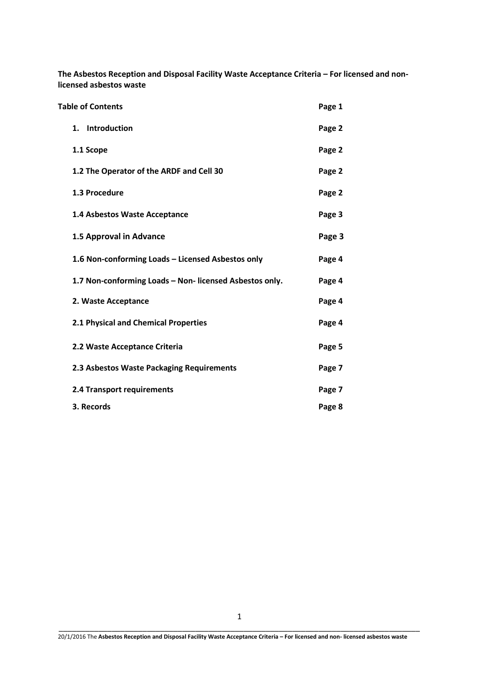**The Asbestos Reception and Disposal Facility Waste Acceptance Criteria – For licensed and nonlicensed asbestos waste**

| <b>Table of Contents</b>                                | Page 1 |
|---------------------------------------------------------|--------|
| 1. Introduction                                         | Page 2 |
| 1.1 Scope                                               | Page 2 |
| 1.2 The Operator of the ARDF and Cell 30                | Page 2 |
| 1.3 Procedure                                           | Page 2 |
| 1.4 Asbestos Waste Acceptance                           | Page 3 |
| 1.5 Approval in Advance                                 | Page 3 |
| 1.6 Non-conforming Loads - Licensed Asbestos only       | Page 4 |
| 1.7 Non-conforming Loads - Non- licensed Asbestos only. | Page 4 |
| 2. Waste Acceptance                                     | Page 4 |
| 2.1 Physical and Chemical Properties                    | Page 4 |
| 2.2 Waste Acceptance Criteria                           | Page 5 |
| 2.3 Asbestos Waste Packaging Requirements               | Page 7 |
| 2.4 Transport requirements                              | Page 7 |
| 3. Records                                              | Page 8 |

20/1/2016 The **Asbestos Reception and Disposal Facility Waste Acceptance Criteria – For licensed and non- licensed asbestos waste**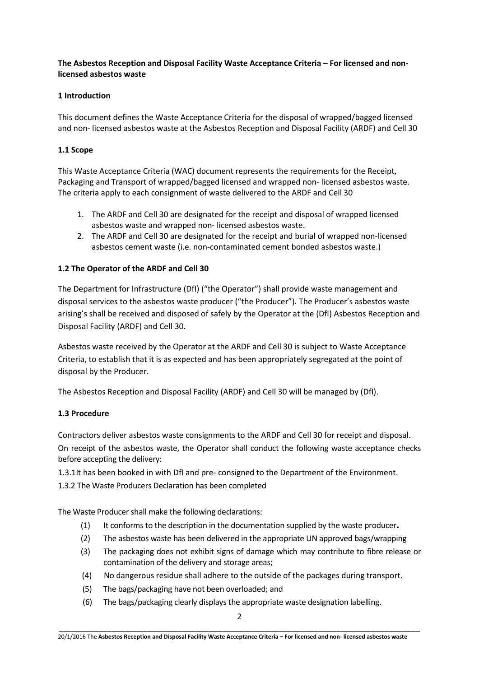# **The Asbestos Reception and Disposal Facility Waste Acceptance Criteria – For licensed and nonlicensed asbestos waste**

# **1 Introduction**

This document defines the Waste Acceptance Criteria for the disposal of wrapped/bagged licensed and non- licensed asbestos waste at the Asbestos Reception and Disposal Facility (ARDF) and Cell 30

#### **1.1 Scope**

This Waste Acceptance Criteria (WAC) document represents the requirements for the Receipt, Packaging and Transport of wrapped/bagged licensed and wrapped non- licensed asbestos waste. The criteria apply to each consignment of waste delivered to the ARDF and Cell 30

- 1. The ARDF and Cell 30 are designated for the receipt and disposal of wrapped licensed asbestos waste and wrapped non- licensed asbestos waste.
- 2. The ARDF and Cell 30 are designated for the receipt and burial of wrapped non-licensed asbestos cement waste (i.e. non-contaminated cement bonded asbestos waste.)

#### **1.2 The Operator of the ARDF and Cell 30**

The Department for Infrastructure (DfI) ("the Operator") shall provide waste management and disposal services to the asbestos waste producer ("the Producer"). The Producer's asbestos waste arising's shall be received and disposed of safely by the Operator at the (DfI) Asbestos Reception and Disposal Facility (ARDF) and Cell 30.

Asbestos waste received by the Operator at the ARDF and Cell 30 is subject to Waste Acceptance Criteria, to establish that it is as expected and has been appropriately segregated at the point of disposal by the Producer.

The Asbestos Reception and Disposal Facility (ARDF) and Cell 30 will be managed by (DfI).

#### **1.3 Procedure**

Contractors deliver asbestos waste consignments to the ARDF and Cell 30 for receipt and disposal. On receipt of the asbestos waste, the Operator shall conduct the following waste acceptance checks before accepting the delivery:

1.3.1It has been booked in with DfI and pre- consigned to the Department of the Environment.

1.3.2 The Waste Producers Declaration has been completed

The Waste Producer shall make the following declarations:

- (1) It conforms to the description in the documentation supplied by the waste producer**.**
- (2) The asbestos waste has been delivered in the appropriate UN approved bags/wrapping
- (3) The packaging does not exhibit signs of damage which may contribute to fibre release or contamination of the delivery and storage areas;
- (4) No dangerous residue shall adhere to the outside of the packages during transport.
- (5) The bags/packaging have not been overloaded; and
- (6) The bags/packaging clearly displaysthe appropriate waste designation labelling.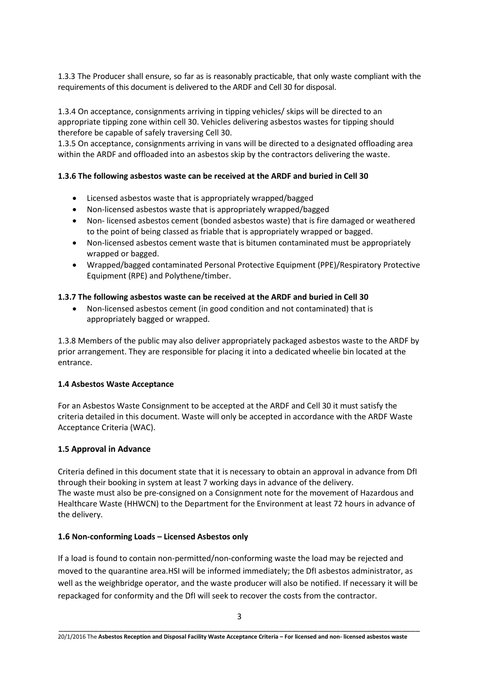1.3.3 The Producer shall ensure, so far as is reasonably practicable, that only waste compliant with the requirements of this document is delivered to the ARDF and Cell 30 for disposal.

1.3.4 On acceptance, consignments arriving in tipping vehicles/ skips will be directed to an appropriate tipping zone within cell 30. Vehicles delivering asbestos wastes for tipping should therefore be capable of safely traversing Cell 30.

1.3.5 On acceptance, consignments arriving in vans will be directed to a designated offloading area within the ARDF and offloaded into an asbestos skip by the contractors delivering the waste.

# **1.3.6 The following asbestos waste can be received at the ARDF and buried in Cell 30**

- Licensed asbestos waste that is appropriately wrapped/bagged
- Non-licensed asbestos waste that is appropriately wrapped/bagged
- Non- licensed asbestos cement (bonded asbestos waste) that is fire damaged or weathered to the point of being classed as friable that is appropriately wrapped or bagged.
- Non-licensed asbestos cement waste that is bitumen contaminated must be appropriately wrapped or bagged.
- Wrapped/bagged contaminated Personal Protective Equipment (PPE)/Respiratory Protective Equipment (RPE) and Polythene/timber.

# **1.3.7 The following asbestos waste can be received at the ARDF and buried in Cell 30**

 Non-licensed asbestos cement (in good condition and not contaminated) that is appropriately bagged or wrapped.

1.3.8 Members of the public may also deliver appropriately packaged asbestos waste to the ARDF by prior arrangement. They are responsible for placing it into a dedicated wheelie bin located at the entrance.

# **1.4 Asbestos Waste Acceptance**

For an Asbestos Waste Consignment to be accepted at the ARDF and Cell 30 it must satisfy the criteria detailed in this document. Waste will only be accepted in accordance with the ARDF Waste Acceptance Criteria (WAC).

# **1.5 Approval in Advance**

Criteria defined in this document state that it is necessary to obtain an approval in advance from DfI through their booking in system at least 7 working days in advance of the delivery. The waste must also be pre-consigned on a Consignment note for the movement of Hazardous and Healthcare Waste (HHWCN) to the Department for the Environment at least 72 hours in advance of the delivery.

# **1.6 Non-conforming Loads – Licensed Asbestos only**

If a load is found to contain non-permitted/non-conforming waste the load may be rejected and moved to the quarantine area.HSI will be informed immediately; the DfI asbestos administrator, as well as the weighbridge operator, and the waste producer will also be notified. If necessary it will be repackaged for conformity and the DfI will seek to recover the costs from the contractor.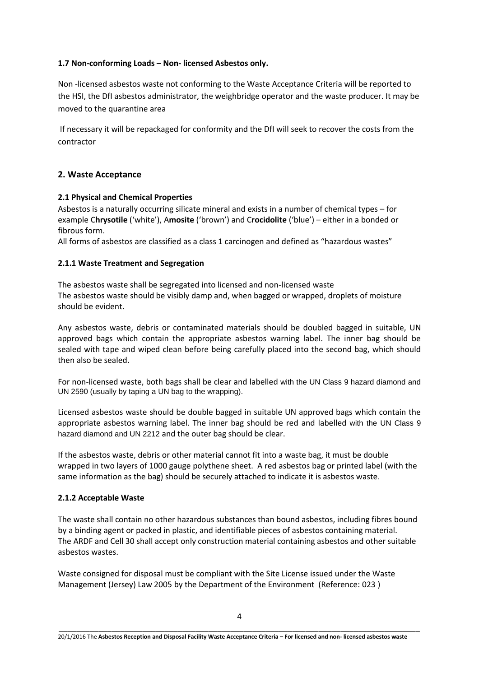## **1.7 Non-conforming Loads – Non- licensed Asbestos only.**

Non -licensed asbestos waste not conforming to the Waste Acceptance Criteria will be reported to the HSI, the DfI asbestos administrator, the weighbridge operator and the waste producer. It may be moved to the quarantine area

If necessary it will be repackaged for conformity and the DfI will seek to recover the costs from the contractor

## **2. Waste Acceptance**

#### **2.1 Physical and Chemical Properties**

Asbestos is a naturally occurring silicate mineral and exists in a number of chemical types – for example C**hrysotile** ('white'), A**mosite** ('brown') and C**rocidolite** ('blue') – either in a bonded or fibrous form.

All forms of asbestos are classified as a class 1 carcinogen and defined as "hazardous wastes"

#### **2.1.1 Waste Treatment and Segregation**

The asbestos waste shall be segregated into licensed and non-licensed waste The asbestos waste should be visibly damp and, when bagged or wrapped, droplets of moisture should be evident.

Any asbestos waste, debris or contaminated materials should be doubled bagged in suitable, UN approved bags which contain the appropriate asbestos warning label. The inner bag should be sealed with tape and wiped clean before being carefully placed into the second bag, which should then also be sealed.

For non-licensed waste, both bags shall be clear and labelled with the UN Class 9 hazard diamond and UN 2590 (usually by taping a UN bag to the wrapping).

Licensed asbestos waste should be double bagged in suitable UN approved bags which contain the appropriate asbestos warning label. The inner bag should be red and labelled with the UN Class 9 hazard diamond and UN 2212 and the outer bag should be clear.

If the asbestos waste, debris or other material cannot fit into a waste bag, it must be double wrapped in two layers of 1000 gauge polythene sheet. A red asbestos bag or printed label (with the same information as the bag) should be securely attached to indicate it is asbestos waste.

#### **2.1.2 Acceptable Waste**

The waste shall contain no other hazardous substances than bound asbestos, including fibres bound by a binding agent or packed in plastic, and identifiable pieces of asbestos containing material. The ARDF and Cell 30 shall accept only construction material containing asbestos and other suitable asbestos wastes.

Waste consigned for disposal must be compliant with the Site License issued under the Waste Management (Jersey) Law 2005 by the Department of the Environment (Reference: 023 )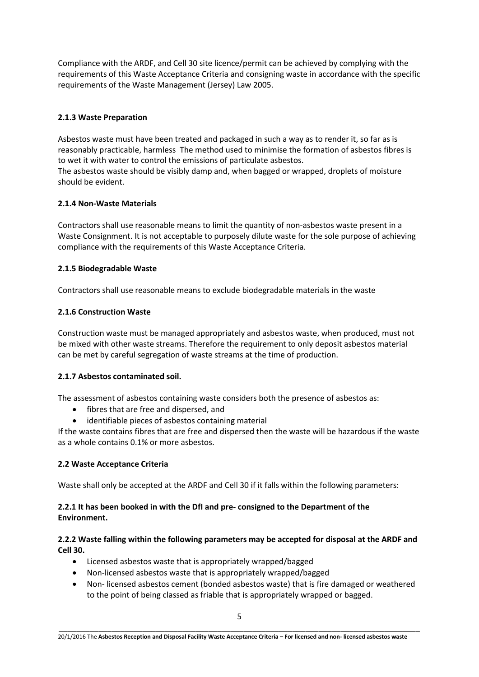Compliance with the ARDF, and Cell 30 site licence/permit can be achieved by complying with the requirements of this Waste Acceptance Criteria and consigning waste in accordance with the specific requirements of the Waste Management (Jersey) Law 2005.

# **2.1.3 Waste Preparation**

Asbestos waste must have been treated and packaged in such a way as to render it, so far as is reasonably practicable, harmless The method used to minimise the formation of asbestos fibres is to wet it with water to control the emissions of particulate asbestos.

The asbestos waste should be visibly damp and, when bagged or wrapped, droplets of moisture should be evident.

# **2.1.4 Non-Waste Materials**

Contractors shall use reasonable means to limit the quantity of non-asbestos waste present in a Waste Consignment. It is not acceptable to purposely dilute waste for the sole purpose of achieving compliance with the requirements of this Waste Acceptance Criteria.

# **2.1.5 Biodegradable Waste**

Contractors shall use reasonable means to exclude biodegradable materials in the waste

# **2.1.6 Construction Waste**

Construction waste must be managed appropriately and asbestos waste, when produced, must not be mixed with other waste streams. Therefore the requirement to only deposit asbestos material can be met by careful segregation of waste streams at the time of production.

# **2.1.7 Asbestos contaminated soil.**

The assessment of asbestos containing waste considers both the presence of asbestos as:

- fibres that are free and dispersed, and
- identifiable pieces of asbestos containing material

If the waste contains fibres that are free and dispersed then the waste will be hazardous if the waste as a whole contains 0.1% or more asbestos.

# **2.2 Waste Acceptance Criteria**

Waste shall only be accepted at the ARDF and Cell 30 if it falls within the following parameters:

# **2.2.1 It has been booked in with the DfI and pre- consigned to the Department of the Environment.**

# **2.2.2 Waste falling within the following parameters may be accepted for disposal at the ARDF and Cell 30.**

- Licensed asbestos waste that is appropriately wrapped/bagged
- Non-licensed asbestos waste that is appropriately wrapped/bagged
- Non- licensed asbestos cement (bonded asbestos waste) that is fire damaged or weathered to the point of being classed as friable that is appropriately wrapped or bagged.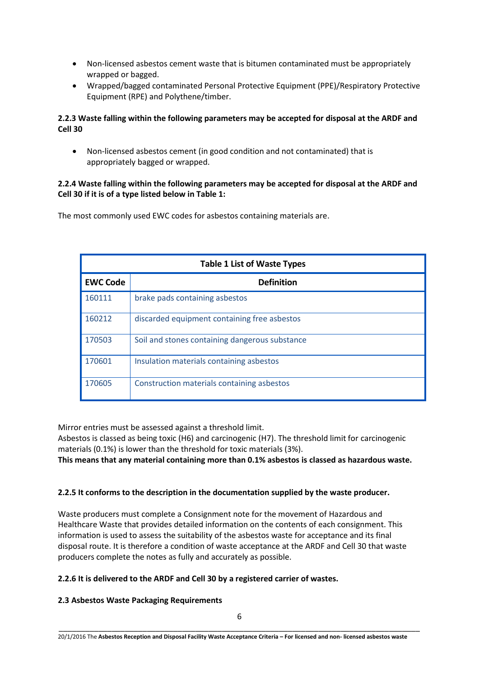- Non-licensed asbestos cement waste that is bitumen contaminated must be appropriately wrapped or bagged.
- Wrapped/bagged contaminated Personal Protective Equipment (PPE)/Respiratory Protective Equipment (RPE) and Polythene/timber.

# **2.2.3 Waste falling within the following parameters may be accepted for disposal at the ARDF and Cell 30**

 Non-licensed asbestos cement (in good condition and not contaminated) that is appropriately bagged or wrapped.

# **2.2.4 Waste falling within the following parameters may be accepted for disposal at the ARDF and Cell 30 if it is of a type listed below in Table 1:**

The most commonly used EWC codes for asbestos containing materials are.

| <b>Table 1 List of Waste Types</b> |                                                |  |
|------------------------------------|------------------------------------------------|--|
| <b>EWC Code</b>                    | <b>Definition</b>                              |  |
| 160111                             | brake pads containing asbestos                 |  |
| 160212                             | discarded equipment containing free asbestos   |  |
| 170503                             | Soil and stones containing dangerous substance |  |
| 170601                             | Insulation materials containing asbestos       |  |
| 170605                             | Construction materials containing asbestos     |  |

Mirror entries must be assessed against a threshold limit.

Asbestos is classed as being toxic (H6) and carcinogenic (H7). The threshold limit for carcinogenic materials (0.1%) is lower than the threshold for toxic materials (3%).

**This means that any material containing more than 0.1% asbestos is classed as hazardous waste.**

# **2.2.5 It conforms to the description in the documentation supplied by the waste producer.**

Waste producers must complete a Consignment note for the movement of Hazardous and Healthcare Waste that provides detailed information on the contents of each consignment. This information is used to assess the suitability of the asbestos waste for acceptance and its final disposal route. It is therefore a condition of waste acceptance at the ARDF and Cell 30 that waste producers complete the notes as fully and accurately as possible.

# **2.2.6 It is delivered to the ARDF and Cell 30 by a registered carrier of wastes.**

# **2.3 Asbestos Waste Packaging Requirements**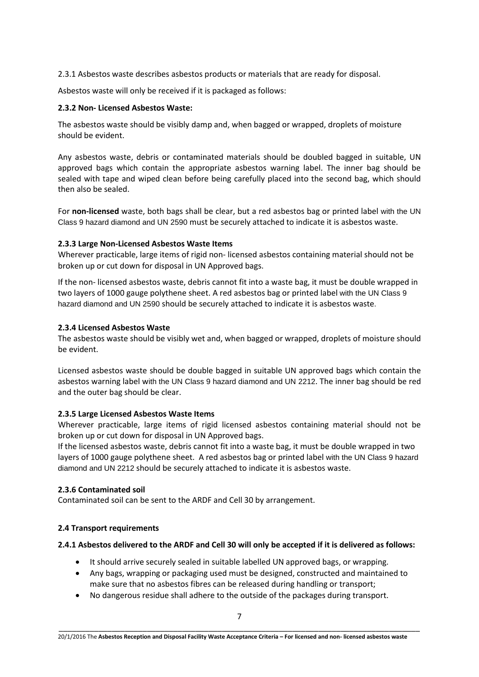2.3.1 Asbestos waste describes asbestos products or materials that are ready for disposal.

Asbestos waste will only be received if it is packaged as follows:

#### **2.3.2 Non- Licensed Asbestos Waste:**

The asbestos waste should be visibly damp and, when bagged or wrapped, droplets of moisture should be evident.

Any asbestos waste, debris or contaminated materials should be doubled bagged in suitable, UN approved bags which contain the appropriate asbestos warning label. The inner bag should be sealed with tape and wiped clean before being carefully placed into the second bag, which should then also be sealed.

For **non-licensed** waste, both bags shall be clear, but a red asbestos bag or printed label with the UN Class 9 hazard diamond and UN 2590 must be securely attached to indicate it is asbestos waste.

#### **2.3.3 Large Non-Licensed Asbestos Waste Items**

Wherever practicable, large items of rigid non- licensed asbestos containing material should not be broken up or cut down for disposal in UN Approved bags.

If the non- licensed asbestos waste, debris cannot fit into a waste bag, it must be double wrapped in two layers of 1000 gauge polythene sheet. A red asbestos bag or printed label with the UN Class 9 hazard diamond and UN 2590 should be securely attached to indicate it is asbestos waste.

#### **2.3.4 Licensed Asbestos Waste**

The asbestos waste should be visibly wet and, when bagged or wrapped, droplets of moisture should be evident.

Licensed asbestos waste should be double bagged in suitable UN approved bags which contain the asbestos warning label with the UN Class 9 hazard diamond and UN 2212. The inner bag should be red and the outer bag should be clear.

# **2.3.5 Large Licensed Asbestos Waste Items**

Wherever practicable, large items of rigid licensed asbestos containing material should not be broken up or cut down for disposal in UN Approved bags.

If the licensed asbestos waste, debris cannot fit into a waste bag, it must be double wrapped in two layers of 1000 gauge polythene sheet. A red asbestos bag or printed label with the UN Class 9 hazard diamond and UN 2212 should be securely attached to indicate it is asbestos waste.

#### **2.3.6 Contaminated soil**

Contaminated soil can be sent to the ARDF and Cell 30 by arrangement.

# **2.4 Transport requirements**

#### **2.4.1 Asbestos delivered to the ARDF and Cell 30 will only be accepted if it is delivered as follows:**

- It should arrive securely sealed in suitable labelled UN approved bags, or wrapping.
- Any bags, wrapping or packaging used must be designed, constructed and maintained to make sure that no asbestos fibres can be released during handling or transport;
- No dangerous residue shall adhere to the outside of the packages during transport.